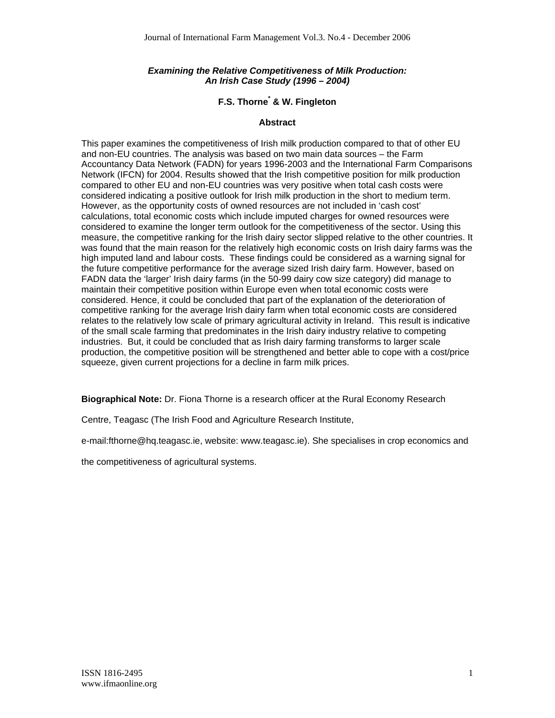## *Examining the Relative Competitiveness of Milk Production: An Irish Case Study (1996 – 2004)*

## **F.S. Thorne\* & W. Fingleton**

## **Abstract**

This paper examines the competitiveness of Irish milk production compared to that of other EU and non-EU countries. The analysis was based on two main data sources – the Farm Accountancy Data Network (FADN) for years 1996-2003 and the International Farm Comparisons Network (IFCN) for 2004. Results showed that the Irish competitive position for milk production compared to other EU and non-EU countries was very positive when total cash costs were considered indicating a positive outlook for Irish milk production in the short to medium term. However, as the opportunity costs of owned resources are not included in 'cash cost' calculations, total economic costs which include imputed charges for owned resources were considered to examine the longer term outlook for the competitiveness of the sector. Using this measure, the competitive ranking for the Irish dairy sector slipped relative to the other countries. It was found that the main reason for the relatively high economic costs on Irish dairy farms was the high imputed land and labour costs. These findings could be considered as a warning signal for the future competitive performance for the average sized Irish dairy farm. However, based on FADN data the 'larger' Irish dairy farms (in the 50-99 dairy cow size category) did manage to maintain their competitive position within Europe even when total economic costs were considered. Hence, it could be concluded that part of the explanation of the deterioration of competitive ranking for the average Irish dairy farm when total economic costs are considered relates to the relatively low scale of primary agricultural activity in Ireland. This result is indicative of the small scale farming that predominates in the Irish dairy industry relative to competing industries. But, it could be concluded that as Irish dairy farming transforms to larger scale production, the competitive position will be strengthened and better able to cope with a cost/price squeeze, given current projections for a decline in farm milk prices.

**Biographical Note:** Dr. Fiona Thorne is a research officer at the Rural Economy Research

Centre, Teagasc (The Irish Food and Agriculture Research Institute,

e-mail:fthorne@hq.teagasc.ie, website: www.teagasc.ie). She specialises in crop economics and

the competitiveness of agricultural systems.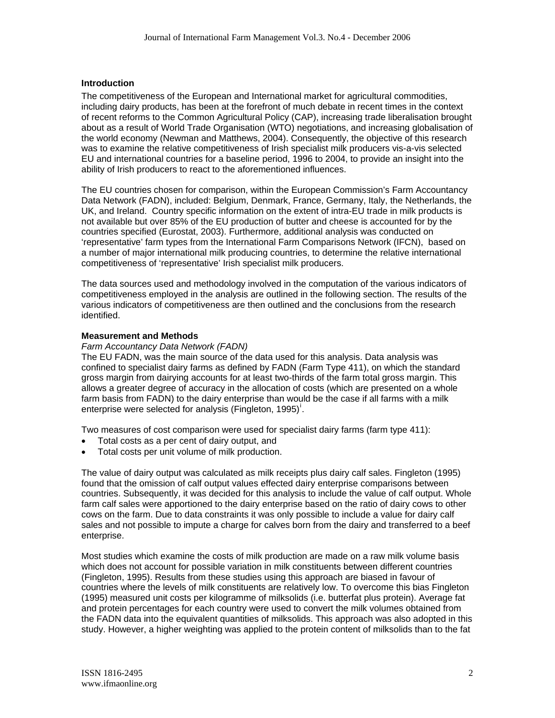## **Introduction**

The competitiveness of the European and International market for agricultural commodities, including dairy products, has been at the forefront of much debate in recent times in the context of recent reforms to the Common Agricultural Policy (CAP), increasing trade liberalisation brought about as a result of World Trade Organisation (WTO) negotiations, and increasing globalisation of the world economy (Newman and Matthews, 2004). Consequently, the objective of this research was to examine the relative competitiveness of Irish specialist milk producers vis-a-vis selected EU and international countries for a baseline period, 1996 to 2004, to provide an insight into the ability of Irish producers to react to the aforementioned influences.

The EU countries chosen for comparison, within the European Commission's Farm Accountancy Data Network (FADN), included: Belgium, Denmark, France, Germany, Italy, the Netherlands, the UK, and Ireland. Country specific information on the extent of intra-EU trade in milk products is not available but over 85% of the EU production of butter and cheese is accounted for by the countries specified (Eurostat, 2003). Furthermore, additional analysis was conducted on 'representative' farm types from the International Farm Comparisons Network (IFCN), based on a number of major international milk producing countries, to determine the relative international competitiveness of 'representative' Irish specialist milk producers.

The data sources used and methodology involved in the computation of the various indicators of competitiveness employed in the analysis are outlined in the following section. The results of the various indicators of competitiveness are then outlined and the conclusions from the research identified.

#### **Measurement and Methods**

#### *Farm Accountancy Data Network (FADN)*

The EU FADN, was the main source of the data used for this analysis. Data analysis was confined to specialist dairy farms as defined by FADN (Farm Type 411), on which the standard gross margin from dairying accounts for at least two-thirds of the farm total gross margin. This allows a greater degree of accuracy in the allocation of costs (which are presented on a whole farm basis from FADN) to the dairy enterprise than would be the case if all farms with a milk enterprise were selected for analysis (Fingleton, 1995)<sup>i</sup>.

Two measures of cost comparison were used for specialist dairy farms (farm type 411):

- Total costs as a per cent of dairy output, and
- Total costs per unit volume of milk production.

The value of dairy output was calculated as milk receipts plus dairy calf sales. Fingleton (1995) found that the omission of calf output values effected dairy enterprise comparisons between countries. Subsequently, it was decided for this analysis to include the value of calf output. Whole farm calf sales were apportioned to the dairy enterprise based on the ratio of dairy cows to other cows on the farm. Due to data constraints it was only possible to include a value for dairy calf sales and not possible to impute a charge for calves born from the dairy and transferred to a beef enterprise.

Most studies which examine the costs of milk production are made on a raw milk volume basis which does not account for possible variation in milk constituents between different countries (Fingleton, 1995). Results from these studies using this approach are biased in favour of countries where the levels of milk constituents are relatively low. To overcome this bias Fingleton (1995) measured unit costs per kilogramme of milksolids (i.e. butterfat plus protein). Average fat and protein percentages for each country were used to convert the milk volumes obtained from the FADN data into the equivalent quantities of milksolids. This approach was also adopted in this study. However, a higher weighting was applied to the protein content of milksolids than to the fat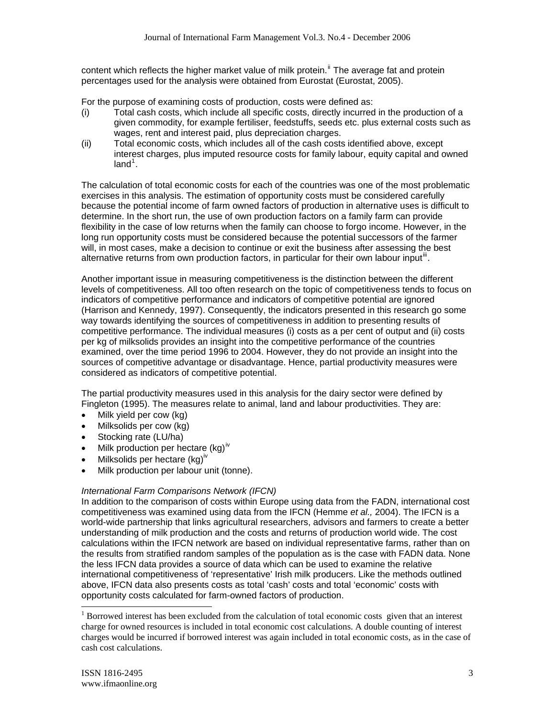content which reflects the higher market value of milk protein.<sup>ii</sup> The average fat and protein percentages used for the analysis were obtained from Eurostat (Eurostat, 2005).

For the purpose of examining costs of production, costs were defined as:

- (i) Total cash costs, which include all specific costs, directly incurred in the production of a given commodity, for example fertiliser, feedstuffs, seeds etc. plus external costs such as wages, rent and interest paid, plus depreciation charges.
- (ii) Total economic costs, which includes all of the cash costs identified above, except interest charges, plus imputed resource costs for family labour, equity capital and owned land $^1$ .

The calculation of total economic costs for each of the countries was one of the most problematic exercises in this analysis. The estimation of opportunity costs must be considered carefully because the potential income of farm owned factors of production in alternative uses is difficult to determine. In the short run, the use of own production factors on a family farm can provide flexibility in the case of low returns when the family can choose to forgo income. However, in the long run opportunity costs must be considered because the potential successors of the farmer will, in most cases, make a decision to continue or exit the business after assessing the best alternative returns from own production factors, in particular for their own labour input<sup>iii</sup>.

Another important issue in measuring competitiveness is the distinction between the different levels of competitiveness. All too often research on the topic of competitiveness tends to focus on indicators of competitive performance and indicators of competitive potential are ignored (Harrison and Kennedy, 1997). Consequently, the indicators presented in this research go some way towards identifying the sources of competitiveness in addition to presenting results of competitive performance. The individual measures (i) costs as a per cent of output and (ii) costs per kg of milksolids provides an insight into the competitive performance of the countries examined, over the time period 1996 to 2004. However, they do not provide an insight into the sources of competitive advantage or disadvantage. Hence, partial productivity measures were considered as indicators of competitive potential.

The partial productivity measures used in this analysis for the dairy sector were defined by Fingleton (1995). The measures relate to animal, land and labour productivities. They are:

- Milk yield per cow (kg)
- Milksolids per cow (kg)
- Stocking rate (LU/ha)
- Milk production per hectare  $(kg)^{iv}$
- Milksolids per hectare  $(kg)^{iv}$
- Milk production per labour unit (tonne).

## *International Farm Comparisons Network (IFCN)*

In addition to the comparison of costs within Europe using data from the FADN, international cost competitiveness was examined using data from the IFCN (Hemme *et al.,* 2004). The IFCN is a world-wide partnership that links agricultural researchers, advisors and farmers to create a better understanding of milk production and the costs and returns of production world wide. The cost calculations within the IFCN network are based on individual representative farms, rather than on the results from stratified random samples of the population as is the case with FADN data. None the less IFCN data provides a source of data which can be used to examine the relative international competitiveness of 'representative' Irish milk producers. Like the methods outlined above, IFCN data also presents costs as total 'cash' costs and total 'economic' costs with opportunity costs calculated for farm-owned factors of production.

l

 $1$  Borrowed interest has been excluded from the calculation of total economic costs given that an interest charge for owned resources is included in total economic cost calculations. A double counting of interest charges would be incurred if borrowed interest was again included in total economic costs, as in the case of cash cost calculations.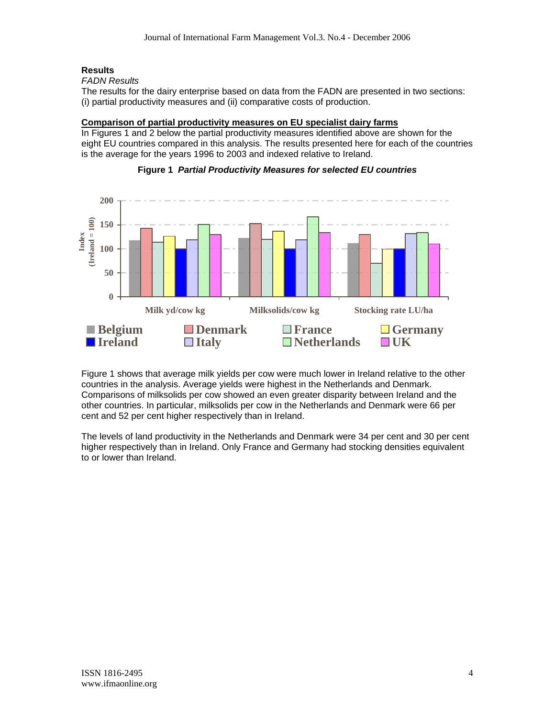# **Results**

## *FADN Results*

The results for the dairy enterprise based on data from the FADN are presented in two sections: (i) partial productivity measures and (ii) comparative costs of production.

## **Comparison of partial productivity measures on EU specialist dairy farms**

In Figures 1 and 2 below the partial productivity measures identified above are shown for the eight EU countries compared in this analysis. The results presented here for each of the countries is the average for the years 1996 to 2003 and indexed relative to Ireland.



## **Figure 1** *Partial Productivity Measures for selected EU countries*

Figure 1 shows that average milk yields per cow were much lower in Ireland relative to the other countries in the analysis. Average yields were highest in the Netherlands and Denmark. Comparisons of milksolids per cow showed an even greater disparity between Ireland and the other countries. In particular, milksolids per cow in the Netherlands and Denmark were 66 per cent and 52 per cent higher respectively than in Ireland.

The levels of land productivity in the Netherlands and Denmark were 34 per cent and 30 per cent higher respectively than in Ireland. Only France and Germany had stocking densities equivalent to or lower than Ireland.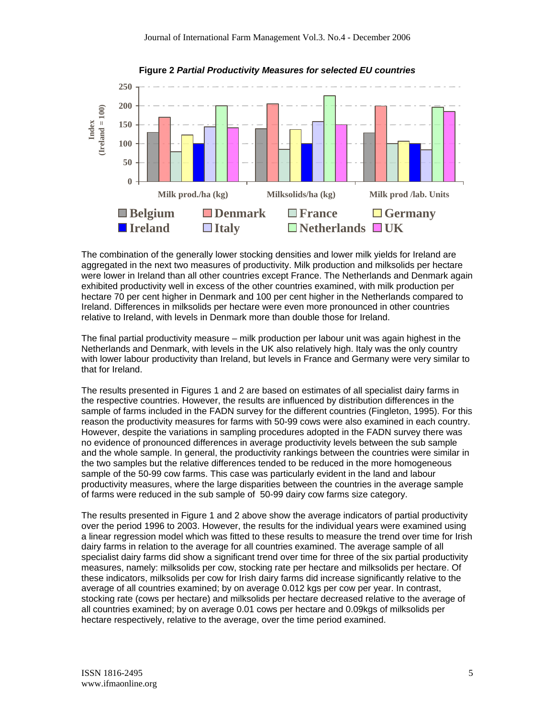

**Figure 2** *Partial Productivity Measures for selected EU countries*

The combination of the generally lower stocking densities and lower milk yields for Ireland are aggregated in the next two measures of productivity. Milk production and milksolids per hectare were lower in Ireland than all other countries except France. The Netherlands and Denmark again exhibited productivity well in excess of the other countries examined, with milk production per hectare 70 per cent higher in Denmark and 100 per cent higher in the Netherlands compared to Ireland. Differences in milksolids per hectare were even more pronounced in other countries relative to Ireland, with levels in Denmark more than double those for Ireland.

The final partial productivity measure – milk production per labour unit was again highest in the Netherlands and Denmark, with levels in the UK also relatively high. Italy was the only country with lower labour productivity than Ireland, but levels in France and Germany were very similar to that for Ireland.

The results presented in Figures 1 and 2 are based on estimates of all specialist dairy farms in the respective countries. However, the results are influenced by distribution differences in the sample of farms included in the FADN survey for the different countries (Fingleton, 1995). For this reason the productivity measures for farms with 50-99 cows were also examined in each country. However, despite the variations in sampling procedures adopted in the FADN survey there was no evidence of pronounced differences in average productivity levels between the sub sample and the whole sample. In general, the productivity rankings between the countries were similar in the two samples but the relative differences tended to be reduced in the more homogeneous sample of the 50-99 cow farms. This case was particularly evident in the land and labour productivity measures, where the large disparities between the countries in the average sample of farms were reduced in the sub sample of 50-99 dairy cow farms size category.

The results presented in Figure 1 and 2 above show the average indicators of partial productivity over the period 1996 to 2003. However, the results for the individual years were examined using a linear regression model which was fitted to these results to measure the trend over time for Irish dairy farms in relation to the average for all countries examined. The average sample of all specialist dairy farms did show a significant trend over time for three of the six partial productivity measures, namely: milksolids per cow, stocking rate per hectare and milksolids per hectare. Of these indicators, milksolids per cow for Irish dairy farms did increase significantly relative to the average of all countries examined; by on average 0.012 kgs per cow per year. In contrast, stocking rate (cows per hectare) and milksolids per hectare decreased relative to the average of all countries examined; by on average 0.01 cows per hectare and 0.09kgs of milksolids per hectare respectively, relative to the average, over the time period examined.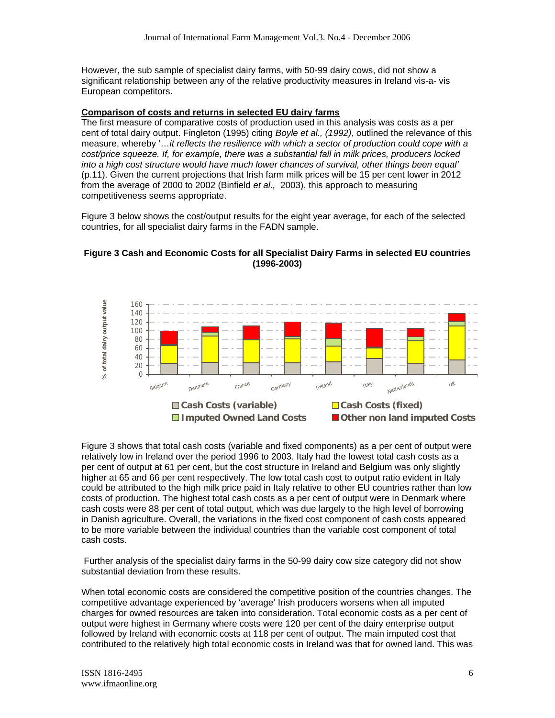However, the sub sample of specialist dairy farms, with 50-99 dairy cows, did not show a significant relationship between any of the relative productivity measures in Ireland vis-a- vis European competitors.

#### **Comparison of costs and returns in selected EU dairy farms**

The first measure of comparative costs of production used in this analysis was costs as a per cent of total dairy output. Fingleton (1995) citing *Boyle et al., (1992)*, outlined the relevance of this measure, whereby '…*it reflects the resilience with which a sector of production could cope with a cost/price squeeze. If, for example, there was a substantial fall in milk prices, producers locked into a high cost structure would have much lower chances of survival, other things been equal'* (p.11). Given the current projections that Irish farm milk prices will be 15 per cent lower in 2012 from the average of 2000 to 2002 (Binfield *et al.,* 2003), this approach to measuring competitiveness seems appropriate.

Figure 3 below shows the cost/output results for the eight year average, for each of the selected countries, for all specialist dairy farms in the FADN sample.

## **Figure 3 Cash and Economic Costs for all Specialist Dairy Farms in selected EU countries (1996-2003)**



Figure 3 shows that total cash costs (variable and fixed components) as a per cent of output were relatively low in Ireland over the period 1996 to 2003. Italy had the lowest total cash costs as a per cent of output at 61 per cent, but the cost structure in Ireland and Belgium was only slightly higher at 65 and 66 per cent respectively. The low total cash cost to output ratio evident in Italy could be attributed to the high milk price paid in Italy relative to other EU countries rather than low costs of production. The highest total cash costs as a per cent of output were in Denmark where cash costs were 88 per cent of total output, which was due largely to the high level of borrowing in Danish agriculture. Overall, the variations in the fixed cost component of cash costs appeared to be more variable between the individual countries than the variable cost component of total cash costs.

 Further analysis of the specialist dairy farms in the 50-99 dairy cow size category did not show substantial deviation from these results.

When total economic costs are considered the competitive position of the countries changes. The competitive advantage experienced by 'average' Irish producers worsens when all imputed charges for owned resources are taken into consideration. Total economic costs as a per cent of output were highest in Germany where costs were 120 per cent of the dairy enterprise output followed by Ireland with economic costs at 118 per cent of output. The main imputed cost that contributed to the relatively high total economic costs in Ireland was that for owned land. This was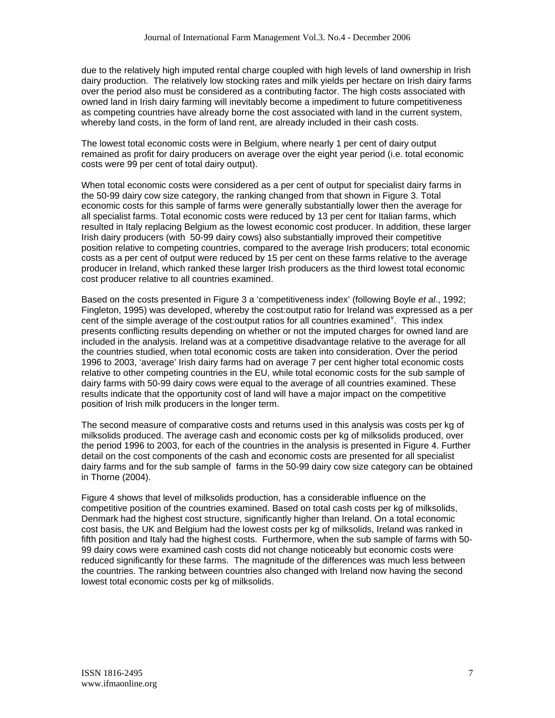due to the relatively high imputed rental charge coupled with high levels of land ownership in Irish dairy production. The relatively low stocking rates and milk yields per hectare on Irish dairy farms over the period also must be considered as a contributing factor. The high costs associated with owned land in Irish dairy farming will inevitably become a impediment to future competitiveness as competing countries have already borne the cost associated with land in the current system, whereby land costs, in the form of land rent, are already included in their cash costs.

The lowest total economic costs were in Belgium, where nearly 1 per cent of dairy output remained as profit for dairy producers on average over the eight year period (i.e. total economic costs were 99 per cent of total dairy output).

When total economic costs were considered as a per cent of output for specialist dairy farms in the 50-99 dairy cow size category, the ranking changed from that shown in Figure 3. Total economic costs for this sample of farms were generally substantially lower then the average for all specialist farms. Total economic costs were reduced by 13 per cent for Italian farms, which resulted in Italy replacing Belgium as the lowest economic cost producer. In addition, these larger Irish dairy producers (with 50-99 dairy cows) also substantially improved their competitive position relative to competing countries, compared to the average Irish producers; total economic costs as a per cent of output were reduced by 15 per cent on these farms relative to the average producer in Ireland, which ranked these larger Irish producers as the third lowest total economic cost producer relative to all countries examined.

Based on the costs presented in Figure 3 a 'competitiveness index' (following Boyle *et al*., 1992; Fingleton, 1995) was developed, whereby the cost:output ratio for Ireland was expressed as a per cent of the simple average of the cost: output ratios for all countries examined  $\mathbf{v}$ . This index presents conflicting results depending on whether or not the imputed charges for owned land are included in the analysis. Ireland was at a competitive disadvantage relative to the average for all the countries studied, when total economic costs are taken into consideration. Over the period 1996 to 2003, 'average' Irish dairy farms had on average 7 per cent higher total economic costs relative to other competing countries in the EU, while total economic costs for the sub sample of dairy farms with 50-99 dairy cows were equal to the average of all countries examined. These results indicate that the opportunity cost of land will have a major impact on the competitive position of Irish milk producers in the longer term.

The second measure of comparative costs and returns used in this analysis was costs per kg of milksolids produced. The average cash and economic costs per kg of milksolids produced, over the period 1996 to 2003, for each of the countries in the analysis is presented in Figure 4. Further detail on the cost components of the cash and economic costs are presented for all specialist dairy farms and for the sub sample of farms in the 50-99 dairy cow size category can be obtained in Thorne (2004).

Figure 4 shows that level of milksolids production, has a considerable influence on the competitive position of the countries examined. Based on total cash costs per kg of milksolids, Denmark had the highest cost structure, significantly higher than Ireland. On a total economic cost basis, the UK and Belgium had the lowest costs per kg of milksolids, Ireland was ranked in fifth position and Italy had the highest costs. Furthermore, when the sub sample of farms with 50- 99 dairy cows were examined cash costs did not change noticeably but economic costs were reduced significantly for these farms. The magnitude of the differences was much less between the countries. The ranking between countries also changed with Ireland now having the second lowest total economic costs per kg of milksolids.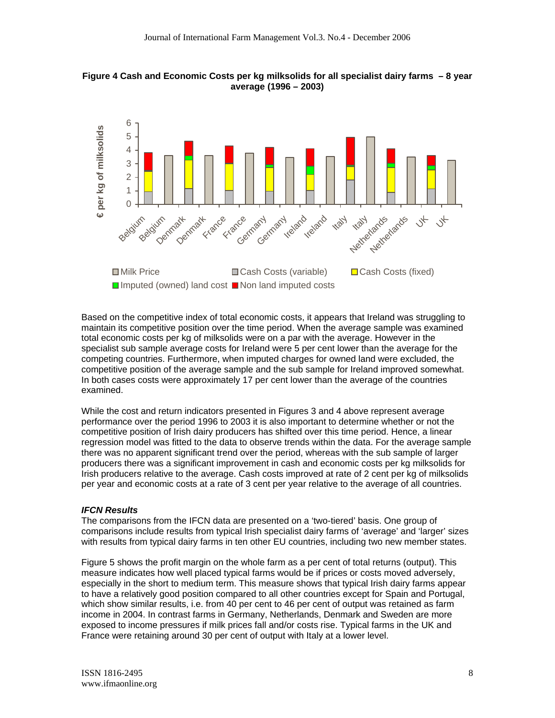



Based on the competitive index of total economic costs, it appears that Ireland was struggling to maintain its competitive position over the time period. When the average sample was examined total economic costs per kg of milksolids were on a par with the average. However in the specialist sub sample average costs for Ireland were 5 per cent lower than the average for the competing countries. Furthermore, when imputed charges for owned land were excluded, the competitive position of the average sample and the sub sample for Ireland improved somewhat. In both cases costs were approximately 17 per cent lower than the average of the countries examined.

While the cost and return indicators presented in Figures 3 and 4 above represent average performance over the period 1996 to 2003 it is also important to determine whether or not the competitive position of Irish dairy producers has shifted over this time period. Hence, a linear regression model was fitted to the data to observe trends within the data. For the average sample there was no apparent significant trend over the period, whereas with the sub sample of larger producers there was a significant improvement in cash and economic costs per kg milksolids for Irish producers relative to the average. Cash costs improved at rate of 2 cent per kg of milksolids per year and economic costs at a rate of 3 cent per year relative to the average of all countries.

#### *IFCN Results*

The comparisons from the IFCN data are presented on a 'two-tiered' basis. One group of comparisons include results from typical Irish specialist dairy farms of 'average' and 'larger' sizes with results from typical dairy farms in ten other EU countries, including two new member states.

Figure 5 shows the profit margin on the whole farm as a per cent of total returns (output). This measure indicates how well placed typical farms would be if prices or costs moved adversely, especially in the short to medium term. This measure shows that typical Irish dairy farms appear to have a relatively good position compared to all other countries except for Spain and Portugal, which show similar results, i.e. from 40 per cent to 46 per cent of output was retained as farm income in 2004. In contrast farms in Germany, Netherlands, Denmark and Sweden are more exposed to income pressures if milk prices fall and/or costs rise. Typical farms in the UK and France were retaining around 30 per cent of output with Italy at a lower level.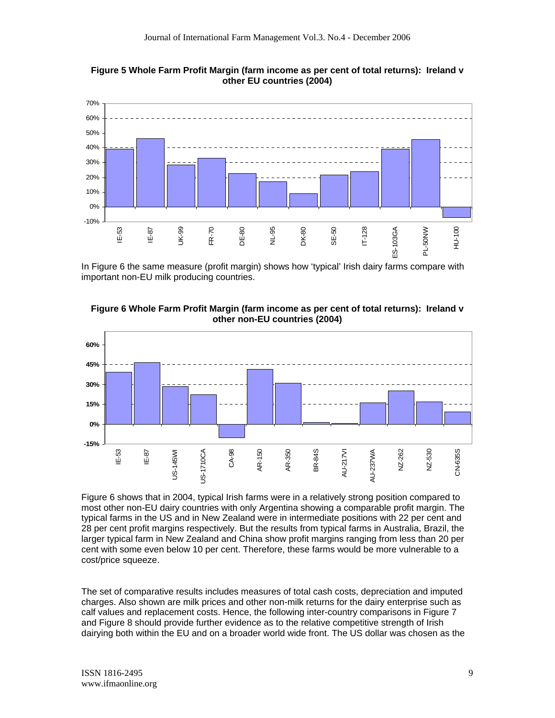



In Figure 6 the same measure (profit margin) shows how 'typical' Irish dairy farms compare with important non-EU milk producing countries.



#### **Figure 6 Whole Farm Profit Margin (farm income as per cent of total returns): Ireland v other non-EU countries (2004)**

Figure 6 shows that in 2004, typical Irish farms were in a relatively strong position compared to most other non-EU dairy countries with only Argentina showing a comparable profit margin. The typical farms in the US and in New Zealand were in intermediate positions with 22 per cent and 28 per cent profit margins respectively. But the results from typical farms in Australia, Brazil, the larger typical farm in New Zealand and China show profit margins ranging from less than 20 per cent with some even below 10 per cent. Therefore, these farms would be more vulnerable to a cost/price squeeze.

The set of comparative results includes measures of total cash costs, depreciation and imputed charges. Also shown are milk prices and other non-milk returns for the dairy enterprise such as calf values and replacement costs. Hence, the following inter-country comparisons in Figure 7 and Figure 8 should provide further evidence as to the relative competitive strength of Irish dairying both within the EU and on a broader world wide front. The US dollar was chosen as the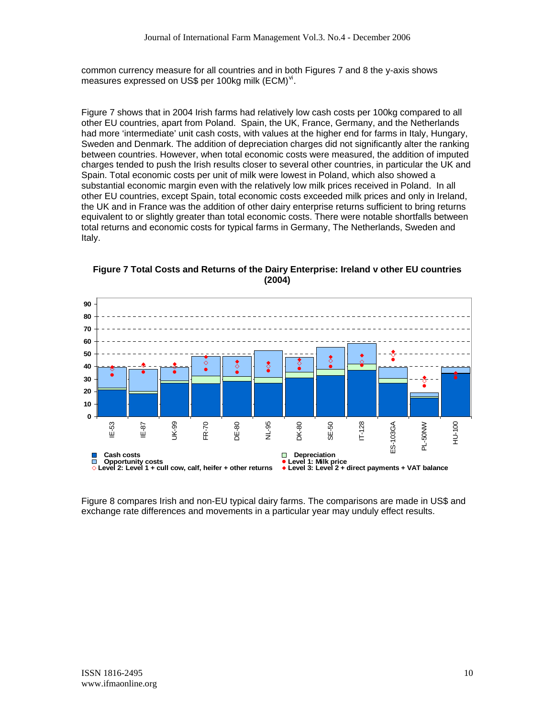common currency measure for all countries and in both Figures 7 and 8 the y-axis shows measures expressed on US\$ per 100 $kg$  milk (ECM) $v$ <sup>i</sup>.

Figure 7 shows that in 2004 Irish farms had relatively low cash costs per 100kg compared to all other EU countries, apart from Poland. Spain, the UK, France, Germany, and the Netherlands had more 'intermediate' unit cash costs, with values at the higher end for farms in Italy, Hungary, Sweden and Denmark. The addition of depreciation charges did not significantly alter the ranking between countries. However, when total economic costs were measured, the addition of imputed charges tended to push the Irish results closer to several other countries, in particular the UK and Spain. Total economic costs per unit of milk were lowest in Poland, which also showed a substantial economic margin even with the relatively low milk prices received in Poland. In all other EU countries, except Spain, total economic costs exceeded milk prices and only in Ireland, the UK and in France was the addition of other dairy enterprise returns sufficient to bring returns equivalent to or slightly greater than total economic costs. There were notable shortfalls between total returns and economic costs for typical farms in Germany, The Netherlands, Sweden and Italy.



**Figure 7 Total Costs and Returns of the Dairy Enterprise: Ireland v other EU countries (2004)** 

Figure 8 compares Irish and non-EU typical dairy farms. The comparisons are made in US\$ and exchange rate differences and movements in a particular year may unduly effect results.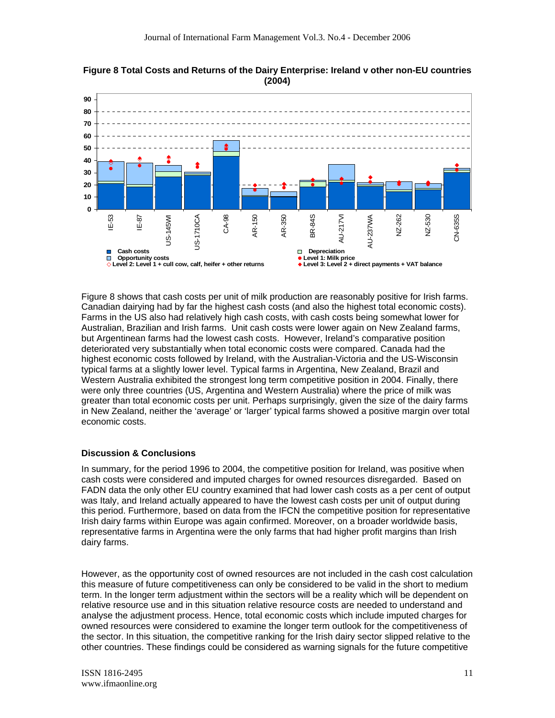

**Figure 8 Total Costs and Returns of the Dairy Enterprise: Ireland v other non-EU countries (2004)** 

Figure 8 shows that cash costs per unit of milk production are reasonably positive for Irish farms. Canadian dairying had by far the highest cash costs (and also the highest total economic costs). Farms in the US also had relatively high cash costs, with cash costs being somewhat lower for Australian, Brazilian and Irish farms. Unit cash costs were lower again on New Zealand farms, but Argentinean farms had the lowest cash costs. However, Ireland's comparative position deteriorated very substantially when total economic costs were compared. Canada had the highest economic costs followed by Ireland, with the Australian-Victoria and the US-Wisconsin typical farms at a slightly lower level. Typical farms in Argentina, New Zealand, Brazil and Western Australia exhibited the strongest long term competitive position in 2004. Finally, there were only three countries (US, Argentina and Western Australia) where the price of milk was greater than total economic costs per unit. Perhaps surprisingly, given the size of the dairy farms in New Zealand, neither the 'average' or 'larger' typical farms showed a positive margin over total economic costs.

## **Discussion & Conclusions**

In summary, for the period 1996 to 2004, the competitive position for Ireland, was positive when cash costs were considered and imputed charges for owned resources disregarded. Based on FADN data the only other EU country examined that had lower cash costs as a per cent of output was Italy, and Ireland actually appeared to have the lowest cash costs per unit of output during this period. Furthermore, based on data from the IFCN the competitive position for representative Irish dairy farms within Europe was again confirmed. Moreover, on a broader worldwide basis, representative farms in Argentina were the only farms that had higher profit margins than Irish dairy farms.

However, as the opportunity cost of owned resources are not included in the cash cost calculation this measure of future competitiveness can only be considered to be valid in the short to medium term. In the longer term adjustment within the sectors will be a reality which will be dependent on relative resource use and in this situation relative resource costs are needed to understand and analyse the adjustment process. Hence, total economic costs which include imputed charges for owned resources were considered to examine the longer term outlook for the competitiveness of the sector. In this situation, the competitive ranking for the Irish dairy sector slipped relative to the other countries. These findings could be considered as warning signals for the future competitive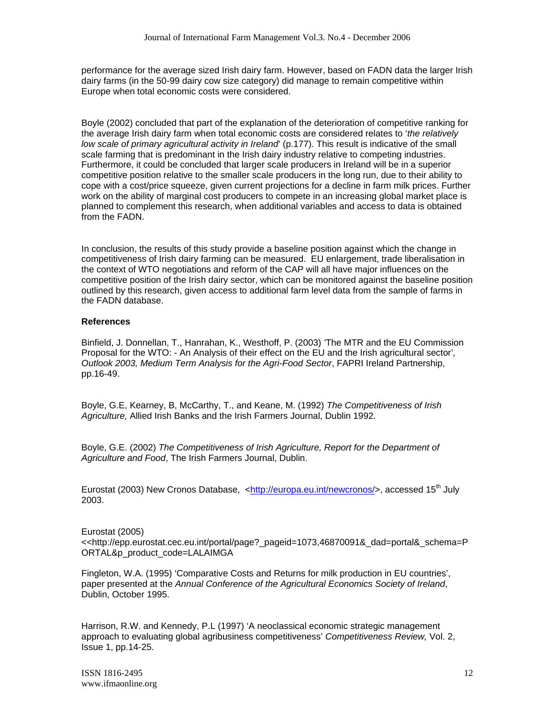performance for the average sized Irish dairy farm. However, based on FADN data the larger Irish dairy farms (in the 50-99 dairy cow size category) did manage to remain competitive within Europe when total economic costs were considered.

Boyle (2002) concluded that part of the explanation of the deterioration of competitive ranking for the average Irish dairy farm when total economic costs are considered relates to '*the relatively low scale of primary agricultural activity in Ireland*' (p.177). This result is indicative of the small scale farming that is predominant in the Irish dairy industry relative to competing industries. Furthermore, it could be concluded that larger scale producers in Ireland will be in a superior competitive position relative to the smaller scale producers in the long run, due to their ability to cope with a cost/price squeeze, given current projections for a decline in farm milk prices. Further work on the ability of marginal cost producers to compete in an increasing global market place is planned to complement this research, when additional variables and access to data is obtained from the FADN.

In conclusion, the results of this study provide a baseline position against which the change in competitiveness of Irish dairy farming can be measured. EU enlargement, trade liberalisation in the context of WTO negotiations and reform of the CAP will all have major influences on the competitive position of the Irish dairy sector, which can be monitored against the baseline position outlined by this research, given access to additional farm level data from the sample of farms in the FADN database.

#### **References**

Binfield, J. Donnellan, T., Hanrahan, K., Westhoff, P. (2003) *'*The MTR and the EU Commission Proposal for the WTO: - An Analysis of their effect on the EU and the Irish agricultural sector'*, Outlook 2003, Medium Term Analysis for the Agri-Food Sector*, FAPRI Ireland Partnership, pp.16-49.

Boyle, G.E, Kearney, B, McCarthy, T., and Keane, M. (1992) *The Competitiveness of Irish Agriculture,* Allied Irish Banks and the Irish Farmers Journal, Dublin 1992.

Boyle, G.E. (2002) *The Competitiveness of Irish Agriculture, Report for the Department of Agriculture and Food*, The Irish Farmers Journal, Dublin.

Eurostat (2003) New Cronos Database, <http://europa.eu.int/newcronos/>, accessed 15<sup>th</sup> July 2003.

Eurostat (2005)

<<http://epp.eurostat.cec.eu.int/portal/page?\_pageid=1073,46870091&\_dad=portal&\_schema=P ORTAL&p\_product\_code=LALAIMGA

Fingleton, W.A. (1995) 'Comparative Costs and Returns for milk production in EU countries', paper presented at the *Annual Conference of the Agricultural Economics Society of Ireland*, Dublin, October 1995.

Harrison, R.W. and Kennedy, P.L (1997) 'A neoclassical economic strategic management approach to evaluating global agribusiness competitiveness' *Competitiveness Review,* Vol. 2, Issue 1, pp.14-25.